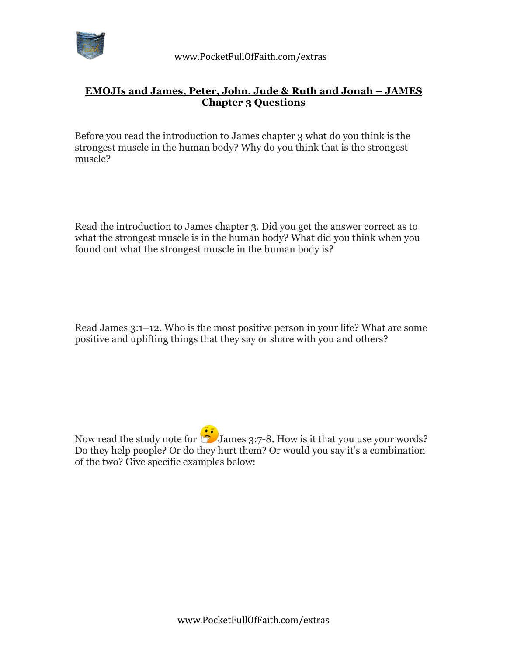

## **EMOJIs and James, Peter, John, Jude & Ruth and Jonah – JAMES Chapter 3 Questions**

Before you read the introduction to James chapter 3 what do you think is the strongest muscle in the human body? Why do you think that is the strongest muscle?

Read the introduction to James chapter 3. Did you get the answer correct as to what the strongest muscle is in the human body? What did you think when you found out what the strongest muscle in the human body is?

Read James 3:1–12. Who is the most positive person in your life? What are some positive and uplifting things that they say or share with you and others?

Now read the study note for  $\ddot{\bullet}$  James 3:7-8. How is it that you use your words? Do they help people? Or do they hurt them? Or would you say it's a combination of the two? Give specific examples below: